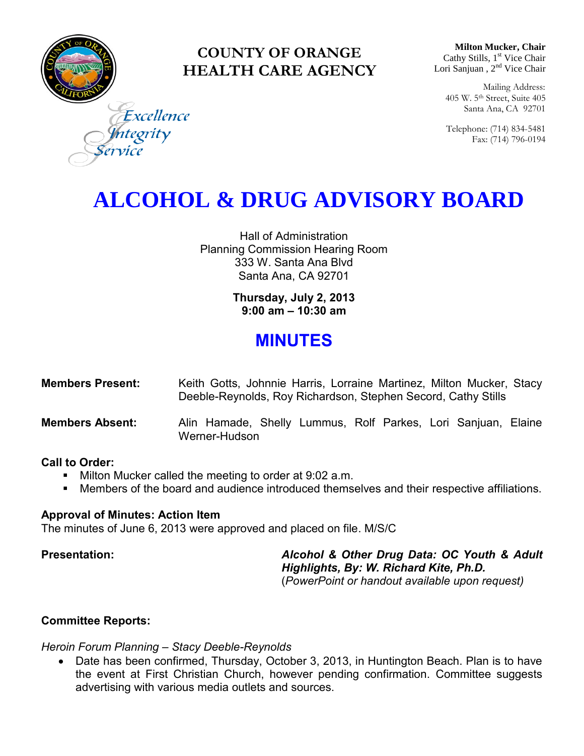

### **COUNTY OF ORANGE HEALTH CARE AGENCY**

**Milton Mucker, Chair** Cathy Stills, 1<sup>st</sup> Vice Chair Lori Sanjuan, 2<sup>nd</sup> Vice Chair

Mailing Address: 405 W. 5th Street, Suite 405 Santa Ana, CA 92701

Telephone: (714) 834-5481 Fax: (714) 796-0194

Excellence ntegrity

## **ALCOHOL & DRUG ADVISORY BOARD**

Hall of Administration Planning Commission Hearing Room 333 W. Santa Ana Blvd Santa Ana, CA 92701

> **Thursday, July 2, 2013 9:00 am – 10:30 am**

### **MINUTES**

| <b>Members Present:</b> | Keith Gotts, Johnnie Harris, Lorraine Martinez, Milton Mucker, Stacy |
|-------------------------|----------------------------------------------------------------------|
|                         | Deeble-Reynolds, Roy Richardson, Stephen Secord, Cathy Stills        |

**Members Absent:** Alin Hamade, Shelly Lummus, Rolf Parkes, Lori Sanjuan, Elaine Werner-Hudson

#### **Call to Order:**

- **Milton Mucker called the meeting to order at 9:02 a.m.**
- Members of the board and audience introduced themselves and their respective affiliations.

#### **Approval of Minutes: Action Item**

The minutes of June 6, 2013 were approved and placed on file. M/S/C

**Presentation:** *Alcohol & Other Drug Data: OC Youth & Adult Highlights, By: W. Richard Kite, Ph.D.*  (*PowerPoint or handout available upon request)* 

#### **Committee Reports:**

#### *Heroin Forum Planning – Stacy Deeble-Reynolds*

 Date has been confirmed, Thursday, October 3, 2013, in Huntington Beach. Plan is to have the event at First Christian Church, however pending confirmation. Committee suggests advertising with various media outlets and sources.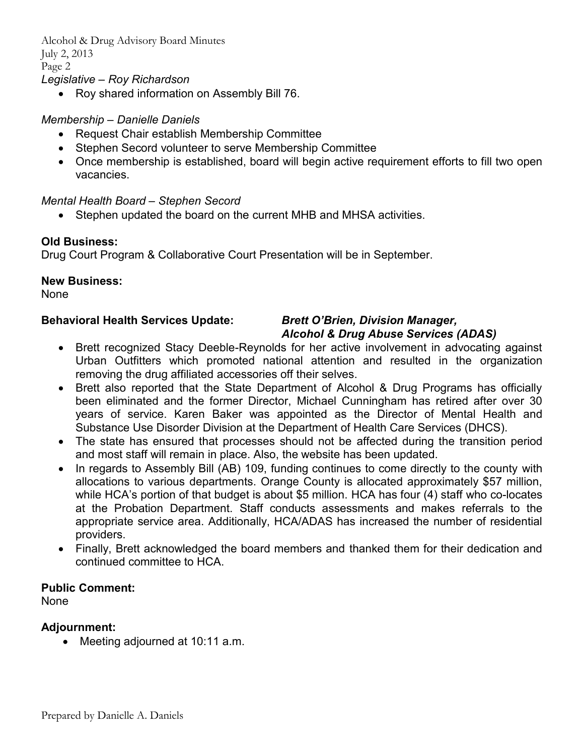Alcohol & Drug Advisory Board Minutes July 2, 2013 Page 2 *Legislative – Roy Richardson* 

• Roy shared information on Assembly Bill 76.

#### *Membership – Danielle Daniels*

- Request Chair establish Membership Committee
- Stephen Secord volunteer to serve Membership Committee
- Once membership is established, board will begin active requirement efforts to fill two open vacancies.

#### *Mental Health Board – Stephen Secord*

Stephen updated the board on the current MHB and MHSA activities.

#### **Old Business:**

Drug Court Program & Collaborative Court Presentation will be in September.

#### **New Business:**

None

#### **Behavioral Health Services Update:** *Brett O'Brien, Division Manager,*

# *Alcohol & Drug Abuse Services (ADAS)*

- Brett recognized Stacy Deeble-Reynolds for her active involvement in advocating against Urban Outfitters which promoted national attention and resulted in the organization removing the drug affiliated accessories off their selves.
- Brett also reported that the State Department of Alcohol & Drug Programs has officially been eliminated and the former Director, Michael Cunningham has retired after over 30 years of service. Karen Baker was appointed as the Director of Mental Health and Substance Use Disorder Division at the Department of Health Care Services (DHCS).
- The state has ensured that processes should not be affected during the transition period and most staff will remain in place. Also, the website has been updated.
- In regards to Assembly Bill (AB) 109, funding continues to come directly to the county with allocations to various departments. Orange County is allocated approximately \$57 million, while HCA's portion of that budget is about \$5 million. HCA has four (4) staff who co-locates at the Probation Department. Staff conducts assessments and makes referrals to the appropriate service area. Additionally, HCA/ADAS has increased the number of residential providers.
- Finally, Brett acknowledged the board members and thanked them for their dedication and continued committee to HCA.

#### **Public Comment:**

None

#### **Adjournment:**

• Meeting adjourned at 10:11 a.m.